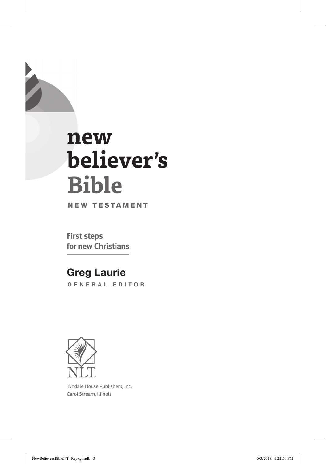# **new believer's Bible**

NEW TESTAMENT

**First steps for new Christians**

## **Greg Laurie**

 **GENERAL EDITOR**



Tyndale House Publishers, Inc. Carol Stream, Illinois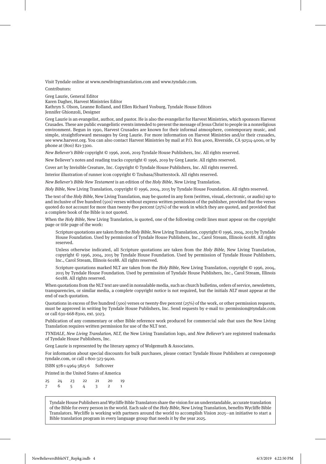Visit Tyndale online at www.newlivingtranslation.com and www.tyndale.com.

Contributors:

Greg Laurie, General Editor Karen Dagher, Harvest Ministries Editor Kathryn S. Olson, Leanne Rolland, and Ellen Richard Vosburg, Tyndale House Editors Jennifer Ghionzoli, Designer

Greg Laurie is an evangelist, author, and pastor. He is also the evangelist for Harvest Ministries, which sponsors Harvest Crusades. These are public evangelistic events intended to present the message of Jesus Christ to people in a nonreligious environment. Begun in 1990, Harvest Crusades are known for their informal atmosphere, contemporary music, and simple, straightforward messages by Greg Laurie. For more information on Harvest Ministries and/or their crusades, see www.harvest.org. You can also contact Harvest Ministries by mail at P.O. Box 4000, Riverside, CA 92514-4000, or by phone at (800) 821-3300.

New Believer's Bible copyright © 1996, 2006, 2019 Tyndale House Publishers, Inc. All rights reserved.

New Believer's notes and reading tracks copyright © 1996, 2019 by Greg Laurie. All rights reserved.

Cover art by Invisible Creature, Inc. Copyright © Tyndale House Publishers, Inc. All rights reserved.

Interior illustration of runner icon copyright © Tzubasa/Shutterstock. All rights reserved.

New Believer's Bible New Testament is an edition of the Holy Bible, New Living Translation.

Holy Bible, New Living Translation, copyright © 1996, 2004, 2015 by Tyndale House Foundation. All rights reserved.

The text of the Holy Bible, New Living Translation, may be quoted in any form (written, visual, electronic, or audio) up to and inclusive of five hundred (500) verses without express written permission of the publisher, provided that the verses quoted do not account for more than twenty-five percent (25%) of the work in which they are quoted, and provided that a complete book of the Bible is not quoted.

When the Holy Bible, New Living Translation, is quoted, one of the following credit lines must appear on the copyright page or title page of the work:

Scripture quotations are taken from the Holy Bible, New Living Translation, copyright © 1996, 2004, 2015 by Tyndale House Foundation. Used by permission of Tyndale House Publishers, Inc., Carol Stream, Illinois 60188. All rights reserved.

Unless otherwise indicated, all Scripture quotations are taken from the Holy Bible, New Living Translation, copyright © 1996, 2004, 2015 by Tyndale House Foundation. Used by permission of Tyndale House Publishers, Inc., Carol Stream, Illinois 60188. All rights reserved.

Scripture quotations marked NLT are taken from the Holy Bible, New Living Translation, copyright © 1996, 2004, 2015 by Tyndale House Foundation. Used by permission of Tyndale House Publishers, Inc., Carol Stream, Illinois 60188. All rights reserved.

When quotations from the NLT text are used in nonsalable media, such as church bulletins, orders of service, newsletters, transparencies, or similar media, a complete copyright notice is not required, but the initials NLT must appear at the end of each quotation.

Quotations in excess of five hundred (500) verses or twenty-five percent (25%) of the work, or other permission requests, must be approved in writing by Tyndale House Publishers, Inc. Send requests by e-mail to: permission@tyndale.com or call 630-668-8300, ext. 5023.

Publication of any commentary or other Bible reference work produced for commercial sale that uses the New Living Translation requires written permission for use of the NLT text.

TYNDALE, New Living Translation, NLT, the New Living Translation logo, and New Believer's are registered trademarks of Tyndale House Publishers, Inc.

Greg Laurie is represented by the literary agency of Wolgemuth & Associates.

For information about special discounts for bulk purchases, please contact Tyndale House Publishers at csresponse@ tyndale.com, or call 1-800-323-9400.

ISBN 978-1-4964-3825-6 Softcover

Printed in the United States of America

|  |  | 25 24 23 22 21 20 19 |  |
|--|--|----------------------|--|
|  |  |                      |  |

Tyndale House Publishers and Wycliffe Bible Translators share the vision for an understandable, accurate translation of the Bible for every person in the world. Each sale of the Holy Bible, New Living Translation, benefits Wycliffe Bible Translators. Wycliffe is working with partners around the world to accomplish Vision 2025—an initiative to start a Bible translation program in every language group that needs it by the year 2025.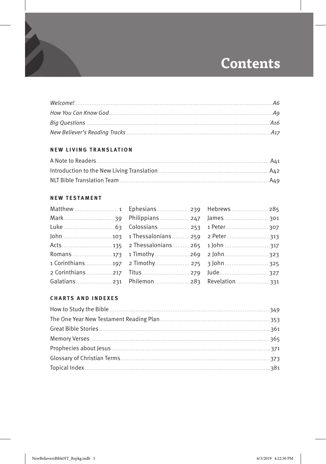## **Contents**

### **NEW LIVING TRANSLATION**

#### **NEW TESTAMENT**

| Acts135 2 Thessalonians 265 1 John 317 |  |
|----------------------------------------|--|
|                                        |  |
|                                        |  |
|                                        |  |
|                                        |  |

### **CHARTS AND INDEXES**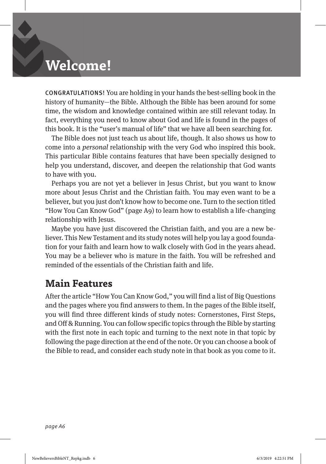# **Welcome!**

CONGRATULATIONS! You are holding in your hands the best-selling book in the history of humanity—the Bible. Although the Bible has been around for some time, the wisdom and knowledge contained within are still relevant today. In fact, everything you need to know about God and life is found in the pages of this book. It is the "user's manual of life" that we have all been searching for.

The Bible does not just teach us about life, though. It also shows us how to come into a personal relationship with the very God who inspired this book. This particular Bible contains features that have been specially designed to help you understand, discover, and deepen the relationship that God wants to have with you.

Perhaps you are not yet a believer in Jesus Christ, but you want to know more about Jesus Christ and the Christian faith. You may even want to be a believer, but you just don't know how to become one. Turn to the section titled "How You Can Know God" (page A9) to learn how to establish a life-changing relationship with Jesus.

Maybe you have just discovered the Christian faith, and you are a new believer. This New Testament and its study notes will help you lay a good foundation for your faith and learn how to walk closely with God in the years ahead. You may be a believer who is mature in the faith. You will be refreshed and reminded of the essentials of the Christian faith and life.

## **Main Features**

After the article "How You Can Know God," you will find a list of Big Questions and the pages where you find answers to them. In the pages of the Bible itself, you will find three different kinds of study notes: Cornerstones, First Steps, and Off & Running. You can follow specific topics through the Bible by starting with the first note in each topic and turning to the next note in that topic by following the page direction at the end of the note. Or you can choose a book of the Bible to read, and consider each study note in that book as you come to it.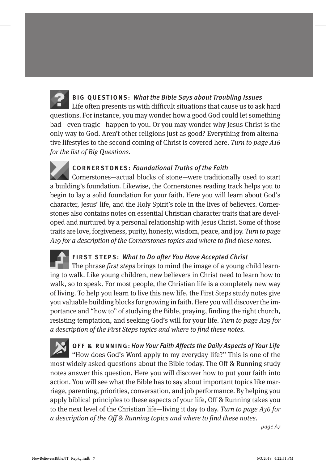**BIG QUESTIONS:** *What the Bible Says about Troubling Issues* Life often presents us with difficult situations that cause us to ask hard questions. For instance, you may wonder how a good God could let something bad—even tragic—happen to you. Or you may wonder why Jesus Christ is the only way to God. Aren't other religions just as good? Everything from alternative lifestyles to the second coming of Christ is covered here. Turn to page A16 for the list of Big Questions.

**CORNERSTONES:** *Foundational Truths of the Faith* Cornerstones—actual blocks of stone—were traditionally used to start a building's foundation. Likewise, the Cornerstones reading track helps you to begin to lay a solid foundation for your faith. Here you will learn about God's character, Jesus' life, and the Holy Spirit's role in the lives of believers. Cornerstones also contains notes on essential Christian character traits that are developed and nurtured by a personal relationship with Jesus Christ. Some of those traits are love, forgiveness, purity, honesty, wisdom, peace, and joy. Turn to page A19 for a description of the Cornerstones topics and where to find these notes.

**FIRST STEPS:** *What to Do after You Have Accepted Christ* The phrase *first steps* brings to mind the image of a young child learning to walk. Like young children, new believers in Christ need to learn how to walk, so to speak. For most people, the Christian life is a completely new way of living. To help you learn to live this new life, the First Steps study notes give you valuable building blocks for growing in faith. Here you will discover the importance and "how to" of studying the Bible, praying, finding the right church, resisting temptation, and seeking God's will for your life. Turn to page A29 for a description of the First Steps topics and where to find these notes.

**OFF & RUNNING:** *How Your Faith Affects the Daily Aspects of Your Life* "How does God's Word apply to my everyday life?" This is one of the most widely asked questions about the Bible today. The Off & Running study notes answer this question. Here you will discover how to put your faith into action. You will see what the Bible has to say about important topics like marriage, parenting, priorities, conversation, and job performance. By helping you apply biblical principles to these aspects of your life, Off & Running takes you to the next level of the Christian life—living it day to day. Turn to page A36 for a description of the Off & Running topics and where to find these notes.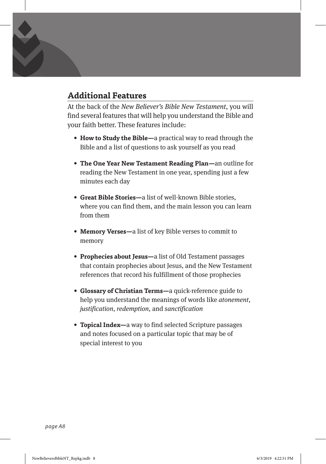## **Additional Features**

At the back of the New Believer's Bible New Testament, you will find several features that will help you understand the Bible and your faith better. These features include:

- **How to Study the Bible—**a practical way to read through the Bible and a list of questions to ask yourself as you read
- **The One Year New Testament Reading Plan—**an outline for reading the New Testament in one year, spending just a few minutes each day
- **Great Bible Stories—**a list of well-known Bible stories, where you can find them, and the main lesson you can learn from them
- **Memory Verses—**a list of key Bible verses to commit to memory
- **Prophecies about Jesus—**a list of Old Testament passages that contain prophecies about Jesus, and the New Testament references that record his fulfillment of those prophecies
- **Glossary of Christian Terms—**a quick-reference guide to help you understand the meanings of words like *atonement*, justification, redemption, and sanctification
- **Topical Index—**a way to find selected Scripture passages and notes focused on a particular topic that may be of special interest to you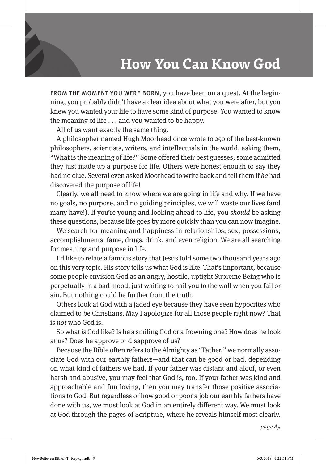## **How You Can Know God**

FROM THE MOMENT YOU WERE BORN, you have been on a quest. At the beginning, you probably didn't have a clear idea about what you were after, but you knew you wanted your life to have some kind of purpose. You wanted to know the meaning of life . . . and you wanted to be happy.

All of us want exactly the same thing.

A philosopher named Hugh Moorhead once wrote to 250 of the best-known philosophers, scientists, writers, and intellectuals in the world, asking them, "What is the meaning of life?" Some offered their best guesses; some admitted they just made up a purpose for life. Others were honest enough to say they had no clue. Several even asked Moorhead to write back and tell them if he had discovered the purpose of life!

Clearly, we all need to know where we are going in life and why. If we have no goals, no purpose, and no guiding principles, we will waste our lives (and many have!). If you're young and looking ahead to life, you should be asking these questions, because life goes by more quickly than you can now imagine.

We search for meaning and happiness in relationships, sex, possessions, accomplishments, fame, drugs, drink, and even religion. We are all searching for meaning and purpose in life.

I'd like to relate a famous story that Jesus told some two thousand years ago on this very topic. His story tells us what God is like. That's important, because some people envision God as an angry, hostile, uptight Supreme Being who is perpetually in a bad mood, just waiting to nail you to the wall when you fail or sin. But nothing could be further from the truth.

Others look at God with a jaded eye because they have seen hypocrites who claimed to be Christians. May I apologize for all those people right now? That is not who God is.

So what is God like? Is he a smiling God or a frowning one? How does he look at us? Does he approve or disapprove of us?

Because the Bible often refers to the Almighty as "Father," we normally associate God with our earthly fathers—and that can be good or bad, depending on what kind of fathers we had. If your father was distant and aloof, or even harsh and abusive, you may feel that God is, too. If your father was kind and approachable and fun loving, then you may transfer those positive associations to God. But regardless of how good or poor a job our earthly fathers have done with us, we must look at God in an entirely different way. We must look at God through the pages of Scripture, where he reveals himself most clearly.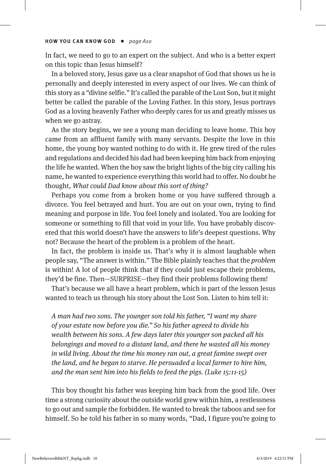In fact, we need to go to an expert on the subject. And who is a better expert on this topic than Jesus himself?

In a beloved story, Jesus gave us a clear snapshot of God that shows us he is personally and deeply interested in every aspect of our lives. We can think of this story as a "divine selfie." It's called the parable of the Lost Son, but it might better be called the parable of the Loving Father. In this story, Jesus portrays God as a loving heavenly Father who deeply cares for us and greatly misses us when we go astray.

As the story begins, we see a young man deciding to leave home. This boy came from an affluent family with many servants. Despite the love in this home, the young boy wanted nothing to do with it. He grew tired of the rules and regulations and decided his dad had been keeping him back from enjoying the life he wanted. When the boy saw the bright lights of the big city calling his name, he wanted to experience everything this world had to offer. No doubt he thought, What could Dad know about this sort of thing?

Perhaps you come from a broken home or you have suffered through a divorce. You feel betrayed and hurt. You are out on your own, trying to find meaning and purpose in life. You feel lonely and isolated. You are looking for someone or something to fill that void in your life. You have probably discovered that this world doesn't have the answers to life's deepest questions. Why not? Because the heart of the problem is a problem of the heart.

In fact, the problem is inside us. That's why it is almost laughable when people say, "The answer is within." The Bible plainly teaches that the problem is within! A lot of people think that if they could just escape their problems, they'd be fine. Then—SURPRISE—they find their problems following them!

That's because we all have a heart problem, which is part of the lesson Jesus wanted to teach us through his story about the Lost Son. Listen to him tell it:

A man had two sons. The younger son told his father, "I want my share of your estate now before you die." So his father agreed to divide his wealth between his sons. A few days later this younger son packed all his belongings and moved to a distant land, and there he wasted all his money in wild living. About the time his money ran out, a great famine swept over the land, and he began to starve. He persuaded a local farmer to hire him, and the man sent him into his fields to feed the pigs. (Luke 15:11-15)

This boy thought his father was keeping him back from the good life. Over time a strong curiosity about the outside world grew within him, a restlessness to go out and sample the forbidden. He wanted to break the taboos and see for himself. So he told his father in so many words, "Dad, I figure you're going to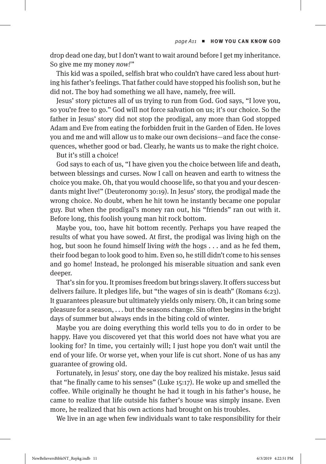drop dead one day, but I don't want to wait around before I get my inheritance. So give me my money now!"

This kid was a spoiled, selfish brat who couldn't have cared less about hurting his father's feelings. That father could have stopped his foolish son, but he did not. The boy had something we all have, namely, free will.

Jesus' story pictures all of us trying to run from God. God says, "I love you, so you're free to go." God will not force salvation on us; it's our choice. So the father in Jesus' story did not stop the prodigal, any more than God stopped Adam and Eve from eating the forbidden fruit in the Garden of Eden. He loves you and me and will allow us to make our own decisions—and face the consequences, whether good or bad. Clearly, he wants us to make the right choice.

But it's still a choice!

God says to each of us, "I have given you the choice between life and death, between blessings and curses. Now I call on heaven and earth to witness the choice you make. Oh, that you would choose life, so that you and your descendants might live!" (Deuteronomy 30:19). In Jesus' story, the prodigal made the wrong choice. No doubt, when he hit town he instantly became one popular guy. But when the prodigal's money ran out, his "friends" ran out with it. Before long, this foolish young man hit rock bottom.

Maybe you, too, have hit bottom recently. Perhaps you have reaped the results of what you have sowed. At first, the prodigal was living high on the hog, but soon he found himself living with the hogs . . . and as he fed them, their food began to look good to him. Even so, he still didn't come to his senses and go home! Instead, he prolonged his miserable situation and sank even deeper.

That's sin for you. It promises freedom but brings slavery. It offers success but delivers failure. It pledges life, but "the wages of sin is death" (Romans 6:23). It guarantees pleasure but ultimately yields only misery. Oh, it can bring some pleasure for a season, . . . but the seasons change. Sin often begins in the bright days of summer but always ends in the biting cold of winter.

Maybe you are doing everything this world tells you to do in order to be happy. Have you discovered yet that this world does not have what you are looking for? In time, you certainly will; I just hope you don't wait until the end of your life. Or worse yet, when your life is cut short. None of us has any guarantee of growing old.

Fortunately, in Jesus' story, one day the boy realized his mistake. Jesus said that "he finally came to his senses" (Luke 15:17). He woke up and smelled the coffee. While originally he thought he had it tough in his father's house, he came to realize that life outside his father's house was simply insane. Even more, he realized that his own actions had brought on his troubles.

We live in an age when few individuals want to take responsibility for their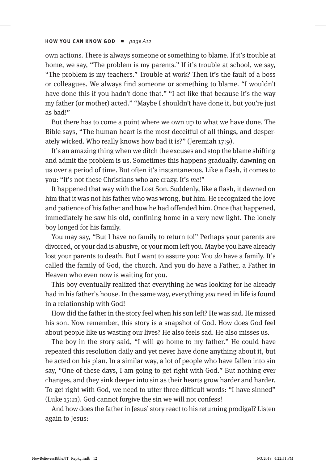own actions. There is always someone or something to blame. If it's trouble at home, we say, "The problem is my parents." If it's trouble at school, we say, "The problem is my teachers." Trouble at work? Then it's the fault of a boss or colleagues. We always find someone or something to blame. "I wouldn't have done this if you hadn't done that." "I act like that because it's the way my father (or mother) acted." "Maybe I shouldn't have done it, but you're just as bad!"

But there has to come a point where we own up to what we have done. The Bible says, "The human heart is the most deceitful of all things, and desperately wicked. Who really knows how bad it is?" (Jeremiah 17:9).

It's an amazing thing when we ditch the excuses and stop the blame shifting and admit the problem is us. Sometimes this happens gradually, dawning on us over a period of time. But often it's instantaneous. Like a flash, it comes to you: "It's not these Christians who are crazy. It's me!"

It happened that way with the Lost Son. Suddenly, like a flash, it dawned on him that it was not his father who was wrong, but him. He recognized the love and patience of his father and how he had offended him. Once that happened, immediately he saw his old, confining home in a very new light. The lonely boy longed for his family.

You may say, "But I have no family to return to!" Perhaps your parents are divorced, or your dad is abusive, or your mom left you. Maybe you have already lost your parents to death. But I want to assure you: You do have a family. It's called the family of God, the church. And you do have a Father, a Father in Heaven who even now is waiting for you.

This boy eventually realized that everything he was looking for he already had in his father's house. In the same way, everything you need in life is found in a relationship with God!

How did the father in the story feel when his son left? He was sad. He missed his son. Now remember, this story is a snapshot of God. How does God feel about people like us wasting our lives? He also feels sad. He also misses us.

The boy in the story said, "I will go home to my father." He could have repeated this resolution daily and yet never have done anything about it, but he acted on his plan. In a similar way, a lot of people who have fallen into sin say, "One of these days, I am going to get right with God." But nothing ever changes, and they sink deeper into sin as their hearts grow harder and harder. To get right with God, we need to utter three difficult words: "I have sinned" (Luke 15:21). God cannot forgive the sin we will not confess!

And how does the father in Jesus' story react to his returning prodigal? Listen again to Jesus: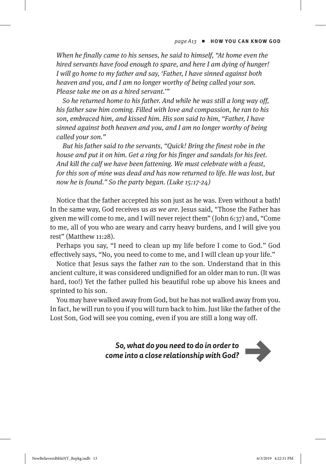When he finally came to his senses, he said to himself, "At home even the hired servants have food enough to spare, and here I am dying of hunger! I will go home to my father and say, 'Father, I have sinned against both heaven and you, and I am no longer worthy of being called your son. Please take me on as a hired servant.'"

So he returned home to his father. And while he was still a long way off, his father saw him coming. Filled with love and compassion, he ran to his son, embraced him, and kissed him. His son said to him, "Father, I have sinned against both heaven and you, and I am no longer worthy of being called your son."

But his father said to the servants, "Quick! Bring the finest robe in the house and put it on him. Get a ring for his finger and sandals for his feet. And kill the calf we have been fattening. We must celebrate with a feast, for this son of mine was dead and has now returned to life. He was lost, but now he is found." So the party began. (Luke 15:17-24)

Notice that the father accepted his son just as he was. Even without a bath! In the same way, God receives us  $as$  we are. Jesus said, "Those the Father has given me will come to me, and I will never reject them" (John 6:37) and, "Come to me, all of you who are weary and carry heavy burdens, and I will give you rest" (Matthew 11:28).

Perhaps you say, "I need to clean up my life before I come to God." God effectively says, "No, you need to come to me, and I will clean up your life."

Notice that Jesus says the father ran to the son. Understand that in this ancient culture, it was considered undignified for an older man to run. (It was hard, too!) Yet the father pulled his beautiful robe up above his knees and sprinted to his son.

You may have walked away from God, but he has not walked away from you. In fact, he will run to you if you will turn back to him. Just like the father of the Lost Son, God will see you coming, even if you are still a long way off.

> *So, what do you need to do in order to come into a close relationship with God?*

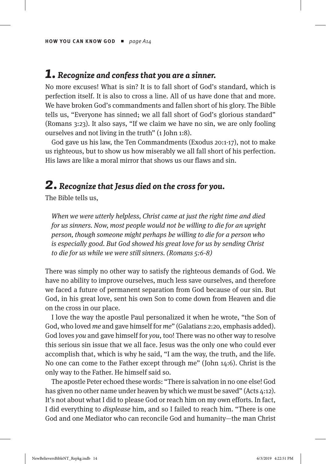## *1. Recognize and confess that you are a sinner.*

No more excuses! What is sin? It is to fall short of God's standard, which is perfection itself. It is also to cross a line. All of us have done that and more. We have broken God's commandments and fallen short of his glory. The Bible tells us, "Everyone has sinned; we all fall short of God's glorious standard" (Romans 3:23). It also says, "If we claim we have no sin, we are only fooling ourselves and not living in the truth" (1 John 1:8).

God gave us his law, the Ten Commandments (Exodus 20:1-17), not to make us righteous, but to show us how miserably we all fall short of his perfection. His laws are like a moral mirror that shows us our flaws and sin.

## *2. Recognize that Jesus died on the cross for you.*

The Bible tells us,

When we were utterly helpless, Christ came at just the right time and died for us sinners. Now, most people would not be willing to die for an upright person, though someone might perhaps be willing to die for a person who is especially good. But God showed his great love for us by sending Christ to die for us while we were still sinners. (Romans 5:6-8)

There was simply no other way to satisfy the righteous demands of God. We have no ability to improve ourselves, much less save ourselves, and therefore we faced a future of permanent separation from God because of our sin. But God, in his great love, sent his own Son to come down from Heaven and die on the cross in our place.

I love the way the apostle Paul personalized it when he wrote, "the Son of God, who loved me and gave himself for me" (Galatians 2:20, emphasis added). God loves you and gave himself for you, too! There was no other way to resolve this serious sin issue that we all face. Jesus was the only one who could ever accomplish that, which is why he said, "I am the way, the truth, and the life. No one can come to the Father except through me" (John 14:6). Christ is the only way to the Father. He himself said so.

The apostle Peter echoed these words: "There is salvation in no one else! God has given no other name under heaven by which we must be saved" (Acts 4:12). It's not about what I did to please God or reach him on my own efforts. In fact, I did everything to displease him, and so I failed to reach him. "There is one God and one Mediator who can reconcile God and humanity—the man Christ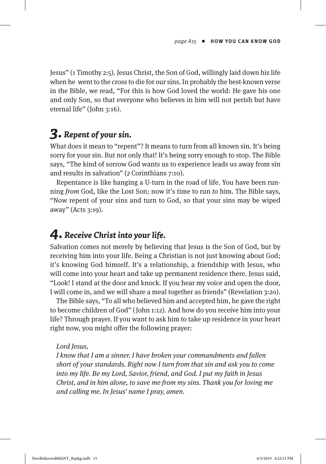Jesus" (1 Timothy 2:5). Jesus Christ, the Son of God, willingly laid down his life when he went to the cross to die for our sins. In probably the best-known verse in the Bible, we read, "For this is how God loved the world: He gave his one and only Son, so that everyone who believes in him will not perish but have eternal life" (John 3:16).

## *3. Repent of your sin.*

What does it mean to "repent"? It means to turn from all known sin. It's being sorry for your sin. But not only that! It's being sorry enough to stop. The Bible says, "The kind of sorrow God wants us to experience leads us away from sin and results in salvation" (2 Corinthians 7:10).

Repentance is like hanging a U-turn in the road of life. You have been running from God, like the Lost Son; now it's time to run to him. The Bible says, "Now repent of your sins and turn to God, so that your sins may be wiped away" (Acts 3:19).

## *4. Receive Christ into your life.*

Salvation comes not merely by believing that Jesus is the Son of God, but by receiving him into your life. Being a Christian is not just knowing about God; it's knowing God himself. It's a relationship, a friendship with Jesus, who will come into your heart and take up permanent residence there. Jesus said, "Look! I stand at the door and knock. If you hear my voice and open the door, I will come in, and we will share a meal together as friends" (Revelation 3:20).

The Bible says, "To all who believed him and accepted him, he gave the right to become children of God" (John 1:12). And how do you receive him into your life? Through prayer. If you want to ask him to take up residence in your heart right now, you might offer the following prayer:

### Lord Jesus,

I know that I am a sinner. I have broken your commandments and fallen short of your standards. Right now I turn from that sin and ask you to come into my life. Be my Lord, Savior, friend, and God. I put my faith in Jesus Christ, and in him alone, to save me from my sins. Thank you for loving me and calling me. In Jesus' name I pray, amen.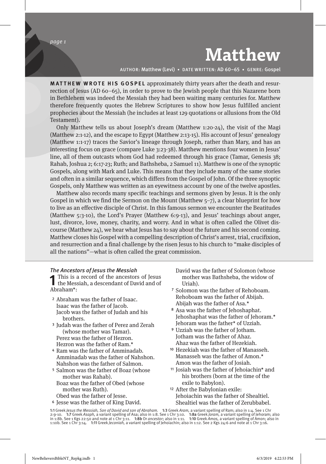# **Matthew**

AUTHOR: Matthew (Levi) • DATE WRITTEN: AD 60–65 • GENRE: Gospel

**MATTHEW WROTE HIS GOSPEL** approximately thirty years after the death and resurrection of Jesus (AD 60–65), in order to prove to the Jewish people that this Nazarene born in Bethlehem was indeed the Messiah they had been waiting many centuries for. Matthew therefore frequently quotes the Hebrew Scriptures to show how Jesus fulfilled ancient prophecies about the Messiah (he includes at least 129 quotations or allusions from the Old Testament).

Only Matthew tells us about Joseph's dream (Matthew 1:20-24), the visit of the Magi (Matthew 2:1-12), and the escape to Egypt (Matthew 2:13-15). His account of Jesus' genealogy (Matthew 1:1-17) traces the Savior's lineage through Joseph, rather than Mary, and has an interesting focus on grace (compare Luke 3:23-38). Matthew mentions four women in Jesus' line, all of them outcasts whom God had redeemed through his grace (Tamar, Genesis 38; Rahab, Joshua 2; 6:17-23; Ruth; and Bathsheba, 2 Samuel 11). Matthew is one of the synoptic Gospels, along with Mark and Luke. This means that they include many of the same stories and often in a similar sequence, which differs from the Gospel of John. Of the three synoptic Gospels, only Matthew was written as an eyewitness account by one of the twelve apostles.

Matthew also records many specific teachings and sermons given by Jesus. It is the only Gospel in which we find the Sermon on the Mount (Matthew 5–7), a clear blueprint for how to live as an effective disciple of Christ. In this famous sermon we encounter the Beatitudes (Matthew 5:3-10), the Lord's Prayer (Matthew 6:9-13), and Jesus' teachings about anger, lust, divorce, love, money, charity, and worry. And in what is often called the Olivet discourse (Matthew 24), we hear what Jesus has to say about the future and his second coming. Matthew closes his Gospel with a compelling description of Christ's arrest, trial, crucifixion, and resurrection and a final challenge by the risen Jesus to his church to "make disciples of all the nations"—what is often called the great commission.

#### *The Ancestors of Jesus the Messiah*

**1** This is a record of the ancestors of Jesus the Messiah, a descendant of David and of Abraham\*:

- <sup>2</sup> Abraham was the father of Isaac. Isaac was the father of Jacob. Jacob was the father of Judah and his brothers.
- <sup>3</sup> Judah was the father of Perez and Zerah (whose mother was Tamar). Perez was the father of Hezron. Hezron was the father of Ram.\*
- <sup>4</sup> Ram was the father of Amminadab. Amminadab was the father of Nahshon. Nahshon was the father of Salmon.
- <sup>5</sup> Salmon was the father of Boaz (whose mother was Rahab). Boaz was the father of Obed (whose mother was Ruth).
	- Obed was the father of Jesse.
- <sup>6</sup> Jesse was the father of King David.
- David was the father of Solomon (whose mother was Bathsheba, the widow of Uriah).
- <sup>7</sup> Solomon was the father of Rehoboam. Rehoboam was the father of Abijah. Abijah was the father of Asa.\*
- <sup>8</sup> Asa was the father of Jehoshaphat. Jehoshaphat was the father of Jehoram.\* Jehoram was the father\* of Uzziah.
- <sup>9</sup> Uzziah was the father of Jotham. Jotham was the father of Ahaz. Ahaz was the father of Hezekiah.
- <sup>10</sup> Hezekiah was the father of Manasseh. Manasseh was the father of Amon.\* Amon was the father of Josiah.
- <sup>11</sup> Josiah was the father of Jehoiachin\* and his brothers (born at the time of the exile to Babylon).
- <sup>12</sup> After the Babylonian exile: Jehoiachin was the father of Shealtiel. Shealtiel was the father of Zerubbabel.

1:1 Greek *Jesus the Messiah, Son of David and son of Abraham.* 1:3 Greek *Aram,* a variant spelling of Ram; also in 1:4. See 1 Chr 2:9-10. 1:7 Greek As*aph,* a variant spelling of Asa; also in 1:8. See 1 Chr 3:10. 1:**8a** Greek *Joram,* a variant spelling of Jehoram; also<br>in 1:8b. See 1 Kgs 22:50 and note at 1 Chr 3:11. 1:**8b** Or *ancestor;* a 1:10b. See 1 Chr 3:14. 1:11 Greek *Jeconiah,* a variant spelling of Jehoiachin; also in 1:12. See 2 Kgs 24:6 and note at 1 Chr 3:16.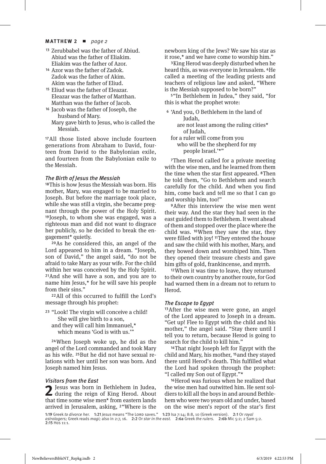#### **Matthew 2** *page 2*

- <sup>13</sup> Zerubbabel was the father of Abiud. Abiud was the father of Eliakim. Eliakim was the father of Azor.
- <sup>14</sup> Azor was the father of Zadok. Zadok was the father of Akim. Akim was the father of Eliud.
- <sup>15</sup> Eliud was the father of Eleazar. Eleazar was the father of Matthan. Matthan was the father of Jacob.
- <sup>16</sup> Jacob was the father of Joseph, the husband of Mary. Mary gave birth to Jesus, who is called the Messiah.

<sup>17</sup>All those listed above include fourteen generations from Abraham to David, fourteen from David to the Babylonian exile, and fourteen from the Babylonian exile to the Messiah.

#### *The Birth of Jesus the Messiah*

<sup>18</sup>This is how Jesus the Messiah was born. His mother, Mary, was engaged to be married to Joseph. But before the marriage took place, while she was still a virgin, she became pregnant through the power of the Holy Spirit. <sup>19</sup>Joseph, to whom she was engaged, was a righteous man and did not want to disgrace her publicly, so he decided to break the engagement\* quietly.

<sup>20</sup>As he considered this, an angel of the Lord appeared to him in a dream. "Joseph, son of David," the angel said, "do not be afraid to take Mary as your wife. For the child within her was conceived by the Holy Spirit. <sup>21</sup>And she will have a son, and you are to name him Jesus,\* for he will save his people from their sins."

<sup>22</sup>All of this occurred to fulfill the Lord's message through his prophet:

<sup>23</sup> "Look! The virgin will conceive a child! She will give birth to a son, and they will call him Immanuel,\* which means 'God is with us.'"

<sup>24</sup>When Joseph woke up, he did as the angel of the Lord commanded and took Mary as his wife. 25But he did not have sexual relations with her until her son was born. And Joseph named him Jesus.

#### *Visitors from the East*

**2**Jesus was born in Bethlehem in Judea, during the reign of King Herod. About that time some wise men\* from eastern lands arrived in Jerusalem, asking, 2"Where is the newborn king of the Jews? We saw his star as it rose,\* and we have come to worship him."

<sup>3</sup>King Herod was deeply disturbed when he heard this, as was everyone in Jerusalem. 4He called a meeting of the leading priests and teachers of religious law and asked, "Where is the Messiah supposed to be born?"

<sup>5</sup>"In Bethlehem in Judea," they said, "for this is what the prophet wrote:

<sup>6</sup> 'And you, O Bethlehem in the land of Judah,

are not least among the ruling cities\* of Judah,

for a ruler will come from you who will be the shepherd for my people Israel.'\*"

<sup>7</sup>Then Herod called for a private meeting with the wise men, and he learned from them the time when the star first appeared. 8Then he told them, "Go to Bethlehem and search carefully for the child. And when you find him, come back and tell me so that I can go and worship him, too!"

<sup>9</sup>After this interview the wise men went their way. And the star they had seen in the east guided them to Bethlehem. It went ahead of them and stopped over the place where the child was. 10When they saw the star, they were filled with joy! 11They entered the house and saw the child with his mother, Mary, and they bowed down and worshiped him. Then they opened their treasure chests and gave him gifts of gold, frankincense, and myrrh.

<sup>12</sup>When it was time to leave, they returned to their own country by another route, for God had warned them in a dream not to return to Herod.

#### *The Escape to Egypt*

<sup>13</sup>After the wise men were gone, an angel of the Lord appeared to Joseph in a dream. "Get up! Flee to Egypt with the child and his mother," the angel said. "Stay there until I tell you to return, because Herod is going to search for the child to kill him."

<sup>14</sup>That night Joseph left for Egypt with the child and Mary, his mother, 15and they stayed there until Herod's death. This fulfilled what the Lord had spoken through the prophet: "I called my Son out of Egypt."\*

<sup>16</sup>Herod was furious when he realized that the wise men had outwitted him. He sent soldiers to kill all the boys in and around Bethlehem who were two years old and under, based on the wise men's report of the star's first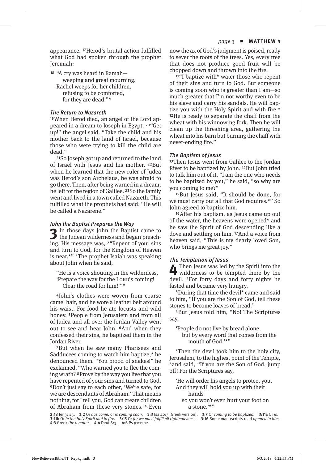appearance. 17Herod's brutal action fulfilled what God had spoken through the prophet Jeremiah:

<sup>18</sup> "A cry was heard in Ramah weeping and great mourning. Rachel weeps for her children, refusing to be comforted, for they are dead."\*

#### *The Return to Nazareth*

19When Herod died, an angel of the Lord appeared in a dream to Joseph in Egypt. 20"Get up!" the angel said. "Take the child and his mother back to the land of Israel, because those who were trying to kill the child are dead."

<sup>21</sup>So Joseph got up and returned to the land of Israel with Jesus and his mother. 22But when he learned that the new ruler of Judea was Herod's son Archelaus, he was afraid to go there. Then, after being warned in a dream, he left for the region of Galilee. 23So the family went and lived in a town called Nazareth. This fulfilled what the prophets had said: "He will be called a Nazarene."

*John the Baptist Prepares the Way* **3** In those days John the Baptist came to the Judean wilderness and began preaching. His message was, 2"Repent of your sins and turn to God, for the Kingdom of Heaven is near.\*" 3The prophet Isaiah was speaking about John when he said,

"He is a voice shouting in the wilderness, 'Prepare the way for the LORD's coming! Clear the road for him!'"\*

<sup>4</sup>John's clothes were woven from coarse camel hair, and he wore a leather belt around his waist. For food he ate locusts and wild honey. 5People from Jerusalem and from all of Judea and all over the Jordan Valley went out to see and hear John. 6And when they confessed their sins, he baptized them in the Jordan River.

<sup>7</sup>But when he saw many Pharisees and Sadducees coming to watch him baptize,\* he denounced them. "You brood of snakes!" he exclaimed. "Who warned you to flee the coming wrath? 8Prove by the way you live that you have repented of your sins and turned to God. <sup>9</sup>Don't just say to each other, 'We're safe, for we are descendants of Abraham.' That means nothing, for I tell you, God can create children of Abraham from these very stones. 10Even

now the ax of God's judgment is poised, ready to sever the roots of the trees. Yes, every tree that does not produce good fruit will be chopped down and thrown into the fire.

<sup>11</sup>"I baptize with\* water those who repent of their sins and turn to God. But someone is coming soon who is greater than I am—so much greater that I'm not worthy even to be his slave and carry his sandals. He will baptize you with the Holy Spirit and with fire.\* <sup>12</sup>He is ready to separate the chaff from the wheat with his winnowing fork. Then he will clean up the threshing area, gathering the wheat into his barn but burning the chaff with never-ending fire."

#### *The Baptism of Jesus*

<sup>13</sup>Then Jesus went from Galilee to the Jordan River to be baptized by John. 14But John tried to talk him out of it. "I am the one who needs to be baptized by you," he said, "so why are you coming to me?"

<sup>15</sup>But Jesus said, "It should be done, for we must carry out all that God requires.\*" So John agreed to baptize him.

<sup>16</sup>After his baptism, as Jesus came up out of the water, the heavens were opened\* and he saw the Spirit of God descending like a dove and settling on him. 17And a voice from heaven said, "This is my dearly loved Son, who brings me great joy."

#### *The Temptation of Jesus*

**4**Then Jesus was led by the Spirit into the wilderness to be tempted there by the devil. 2For forty days and forty nights he fasted and became very hungry.

<sup>3</sup>During that time the devil\* came and said to him, "If you are the Son of God, tell these stones to become loaves of bread."

<sup>4</sup>But Jesus told him, "No! The Scriptures say,

'People do not live by bread alone,

but by every word that comes from the mouth of God.'\*"

<sup>5</sup>Then the devil took him to the holy city, Jerusalem, to the highest point of the Temple, <sup>6</sup>and said, "If you are the Son of God, jump off! For the Scriptures say,

'He will order his angels to protect you. And they will hold you up with their hands so you won't even hurt your foot on

a stone.'\*"

2:18 Jer 31:15. 3:2 Or has come, or is coming soon. 3:3 Isa 40:3 (Greek version). 3:7 Or coming to be baptized. 3:11a Or in.<br>3:11b Or in the Holy Spirit and in fire. 3:15 Or for we must fulfill all righteous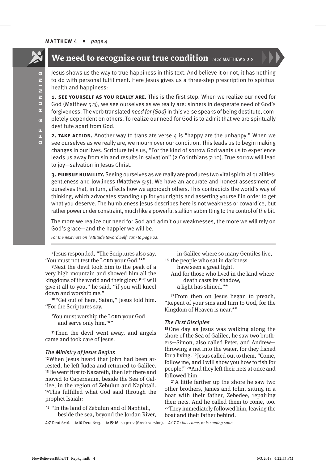Jesus shows us the way to true happiness in this text. And believe it or not, it has nothing to do with personal fulfillment. Here Jesus gives us a three-step prescription to spiritual health and happiness:

**1. See Yourself as You Really Are.** This is the first step. When we realize our need for God (Matthew 5:3), we see ourselves as we really are: sinners in desperate need of God's forgiveness. The verb translated *need for [God]* in this verse speaks of being destitute, completely dependent on others. To realize our need for God is to admit that we are spiritually destitute apart from God.

**2. TAKE ACTION.** Another way to translate verse  $\mu$  is "happy are the unhappy." When we see ourselves as we really are, we mourn over our condition. This leads us to begin making changes in our lives. Scripture tells us, "For the kind of sorrow God wants us to experience leads us away from sin and results in salvation" (2 Corinthians 7:10). True sorrow will lead to joy—salvation in Jesus Christ.

**3. Pursue Humility.** Seeing ourselves as we really are produces two vital spiritual qualities: gentleness and lowliness (Matthew 5:5). We have an accurate and honest assessment of ourselves that, in turn, affects how we approach others. This contradicts the world's way of thinking, which advocates standing up for your rights and asserting yourself in order to get what you deserve. The humbleness Jesus describes here is not weakness or cowardice, but rather power under constraint, much like a powerful stallion submitting to the control of the bit.

The more we realize our need for God and admit our weaknesses, the more we will rely on God's grace—and the happier we will be.

*For the next note on "Attitude toward Self" turn to page 22.*

<sup>7</sup>Jesus responded, "The Scriptures also say, 'You must not test the LORD your God.'\*"

<sup>8</sup>Next the devil took him to the peak of a very high mountain and showed him all the kingdoms of the world and their glory. 9"I will give it all to you," he said, "if you will kneel down and worship me."

<sup>10</sup>"Get out of here, Satan," Jesus told him. "For the Scriptures say,

'You must worship the LORD your God and serve only him.'\*"

<sup>11</sup>Then the devil went away, and angels came and took care of Jesus.

#### *The Ministry of Jesus Begins*

12When Jesus heard that John had been arrested, he left Judea and returned to Galilee. <sup>13</sup>He went first to Nazareth, then left there and moved to Capernaum, beside the Sea of Galilee, in the region of Zebulun and Naphtali. <sup>14</sup>This fulfilled what God said through the prophet Isaiah:

<sup>15</sup> "In the land of Zebulun and of Naphtali, beside the sea, beyond the Jordan River,

in Galilee where so many Gentiles live, <sup>16</sup> the people who sat in darkness

have seen a great light.

And for those who lived in the land where death casts its shadow, a light has shined."\*

<sup>17</sup>From then on Jesus began to preach, "Repent of your sins and turn to God, for the Kingdom of Heaven is near.\*"

### *The First Disciples*

<sup>18</sup>One day as Jesus was walking along the shore of the Sea of Galilee, he saw two brothers—Simon, also called Peter, and Andrew throwing a net into the water, for they fished for a living. <sup>19</sup> Jesus called out to them, "Come, follow me, and I will show you how to fish for people!" 20And they left their nets at once and followed him.

<sup>21</sup>A little farther up the shore he saw two other brothers, James and John, sitting in a boat with their father, Zebedee, repairing their nets. And he called them to come, too. <sup>22</sup>They immediately followed him, leaving the boat and their father behind.

RUNNING ONING & LLO ತ u.<br>U  $\circ$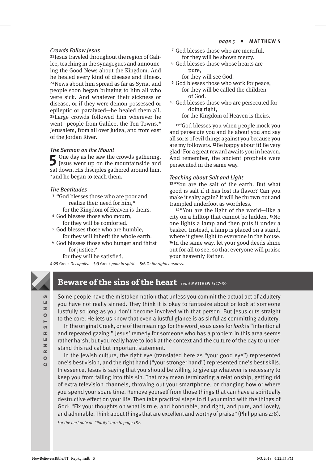#### *Crowds Follow Jesus*

23Jesus traveled throughout the region of Galilee, teaching in the synagogues and announcing the Good News about the Kingdom. And he healed every kind of disease and illness. <sup>24</sup>News about him spread as far as Syria, and people soon began bringing to him all who were sick. And whatever their sickness or disease, or if they were demon possessed or epileptic or paralyzed—he healed them all. <sup>25</sup>Large crowds followed him wherever he went—people from Galilee, the Ten Towns,\* Jerusalem, from all over Judea, and from east of the Jordan River.

#### *The Sermon on the Mount*

**5** One day as he saw the crowds gathering,  $\sum$  Jesus went up on the mountainside and sat down. His disciples gathered around him, <sup>2</sup>and he began to teach them.

#### *The Beatitudes*

- <sup>3</sup> "God blesses those who are poor and realize their need for him,\*
- for the Kingdom of Heaven is theirs. <sup>4</sup> God blesses those who mourn,
- for they will be comforted.
- <sup>5</sup> God blesses those who are humble, for they will inherit the whole earth.
- <sup>6</sup> God blesses those who hunger and thirst for justice,\*
	- for they will be satisfied.
- <sup>7</sup> God blesses those who are merciful, for they will be shown mercy.
- <sup>8</sup> God blesses those whose hearts are pure,

for they will see God.

- <sup>9</sup> God blesses those who work for peace, for they will be called the children of God.
- <sup>10</sup> God blesses those who are persecuted for doing right,

for the Kingdom of Heaven is theirs.

<sup>11</sup>"God blesses you when people mock you and persecute you and lie about you and say all sorts of evil things against you because you are my followers. 12Be happy about it! Be very glad! For a great reward awaits you in heaven. And remember, the ancient prophets were persecuted in the same way.

#### *Teaching about Salt and Light*

<sup>13</sup>"You are the salt of the earth. But what good is salt if it has lost its flavor? Can you make it salty again? It will be thrown out and trampled underfoot as worthless.

<sup>14</sup>"You are the light of the world—like a city on a hilltop that cannot be hidden. 15No one lights a lamp and then puts it under a basket. Instead, a lamp is placed on a stand, where it gives light to everyone in the house. <sup>16</sup>In the same way, let your good deeds shine out for all to see, so that everyone will praise your heavenly Father.

4:25 Greek *Decapolis.* 5:3 Greek *poor in spirit.* 5:6 Or *for righteousness.*

## **Beware of the sins of the heart** *read* MATTHEW 5:27-30

Some people have the mistaken notion that unless you commit the actual act of adultery you have not really sinned. They think it is okay to fantasize about or look at someone lustfully so long as you don't become involved with that person. But Jesus cuts straight to the core. He lets us know that even a lustful glance is as sinful as committing adultery.

In the original Greek, one of the meanings for the word Jesus uses for *look* is "intentional and repeated gazing." Jesus' remedy for someone who has a problem in this area seems rather harsh, but you really have to look at the context and the culture of the day to understand this radical but important statement.

In the Jewish culture, the right eye (translated here as "your good eye") represented one's best vision, and the right hand ("your stronger hand") represented one's best skills. In essence, Jesus is saying that you should be willing to give up whatever is necessary to keep you from falling into this sin. That may mean terminating a relationship, getting rid of extra television channels, throwing out your smartphone, or changing how or where you spend your spare time. Remove yourself from those things that can have a spiritually destructive effect on your life. Then take practical steps to fill your mind with the things of God: "Fix your thoughts on what is true, and honorable, and right, and pure, and lovely, and admirable. Think about things that are excellent and worthy of praise" (Philippians 4:8).

*For the next note on "Purity" turn to page 182.*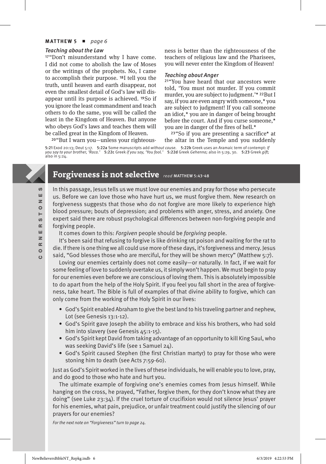#### **Matthew 5** *page 6*

#### *Teaching about the Law*

<sup>17</sup>"Don't misunderstand why I have come. I did not come to abolish the law of Moses or the writings of the prophets. No, I came to accomplish their purpose. 18I tell you the truth, until heaven and earth disappear, not even the smallest detail of God's law will disappear until its purpose is achieved. 19So if you ignore the least commandment and teach others to do the same, you will be called the least in the Kingdom of Heaven. But anyone who obeys God's laws and teaches them will be called great in the Kingdom of Heaven.

20"But I warn you—unless your righteous-

*Teaching about Anger* <sup>21</sup>"You have heard that our ancestors were

told, 'You must not murder. If you commit murder, you are subject to judgment.'\* 22But I say, if you are even angry with someone,\* you are subject to judgment! If you call someone an idiot,\* you are in danger of being brought before the court. And if you curse someone,\* you are in danger of the fires of hell.\*

ness is better than the righteousness of the teachers of religious law and the Pharisees, you will never enter the Kingdom of Heaven!

<sup>23</sup>"So if you are presenting a sacrifice\* at the altar in the Temple and you suddenly

5:21 Exod 20:13; Deut 5:17. 5:22a Some manuscripts add *without cause.* 5:22b Greek uses an Aramaic term of contempt: *If you say to your brother, 'Raca.'* 5:22c Greek *if you say, 'You fool.'* 5:22d Greek *Gehenna;* also in 5:29, 30. 5:23 Greek *gift;* also in 5:24.

## **Forgiveness is not selective** *read* MATTHEW 5:43-48

In this passage, Jesus tells us we must love our enemies and pray for those who persecute us. Before we can love those who have hurt us, we must forgive them. New research on forgiveness suggests that those who do not forgive are more likely to experience high blood pressure; bouts of depression; and problems with anger, stress, and anxiety. One expert said there are robust psychological differences between non-forgiving people and forgiving people.

It comes down to this: *Forgiven* people should be *forgiving* people.

It's been said that refusing to forgive is like drinking rat poison and waiting for the rat to die. If there is one thing we all could use more of these days, it's forgiveness and mercy. Jesus said, "God blesses those who are merciful, for they will be shown mercy" (Matthew 5:7).

Loving our enemies certainly does not come easily—or naturally. In fact, if we wait for some feeling of love to suddenly overtake us, it simply won't happen. We must begin to pray for our enemies even before we are conscious of loving them. This is absolutely impossible to do apart from the help of the Holy Spirit. If you feel you fall short in the area of forgiveness, take heart. The Bible is full of examples of that divine ability to forgive, which can only come from the working of the Holy Spirit in our lives:

- God's Spirit enabled Abraham to give the best land to his traveling partner and nephew, Lot (see Genesis 13:1-12).
- God's Spirit gave Joseph the ability to embrace and kiss his brothers, who had sold him into slavery (see Genesis 45:1-15).
- God's Spirit kept David from taking advantage of an opportunity to kill King Saul, who was seeking David's life (see 1 Samuel 24).
- God's Spirit caused Stephen (the first Christian martyr) to pray for those who were stoning him to death (see Acts 7:59-60).

Just as God's Spirit worked in the lives of these individuals, he will enable you to love, pray, and do good to those who hate and hurt you.

The ultimate example of forgiving one's enemies comes from Jesus himself. While hanging on the cross, he prayed, "Father, forgive them, for they don't know what they are doing" (see Luke 23:34). If the cruel torture of crucifixion would not silence Jesus' prayer for his enemies, what pain, prejudice, or unfair treatment could justify the silencing of our prayers for our enemies?

*For the next note on "Forgiveness" turn to page 24.*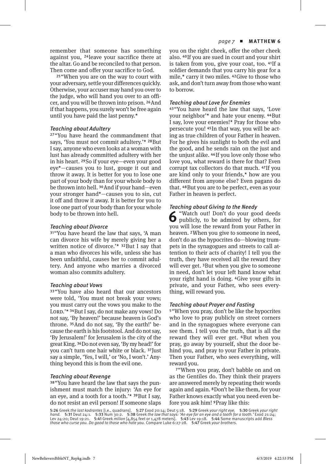remember that someone has something against you, 24leave your sacrifice there at the altar. Go and be reconciled to that person. Then come and offer your sacrifice to God.

<sup>25</sup>"When you are on the way to court with your adversary, settle your differences quickly. Otherwise, your accuser may hand you over to the judge, who will hand you over to an officer, and you will be thrown into prison. 26And if that happens, you surely won't be free again until you have paid the last penny.\*

#### *Teaching about Adultery*

<sup>27</sup>"You have heard the commandment that says, 'You must not commit adultery.'\* 28But I say, anyone who even looks at a woman with lust has already committed adultery with her in his heart. 29So if your eye—even your good eye\*—causes you to lust, gouge it out and throw it away. It is better for you to lose one part of your body than for your whole body to be thrown into hell. 30And if your hand—even your stronger hand\*—causes you to sin, cut it off and throw it away. It is better for you to lose one part of your body than for your whole body to be thrown into hell.

#### *Teaching about Divorce*

<sup>31</sup>"You have heard the law that says, 'A man can divorce his wife by merely giving her a written notice of divorce.'\* 32But I say that a man who divorces his wife, unless she has been unfaithful, causes her to commit adultery. And anyone who marries a divorced woman also commits adultery.

#### *Teaching about Vows*

<sup>33</sup>"You have also heard that our ancestors were told, 'You must not break your vows; you must carry out the vows you make to the LORD.'\* <sup>34</sup>But I say, do not make any vows! Do not say, 'By heaven!' because heaven is God's throne. 35And do not say, 'By the earth!' because the earth is his footstool. And do not say, 'By Jerusalem!' for Jerusalem is the city of the great King. 36Do not even say, 'By my head!' for you can't turn one hair white or black. 37Just say a simple, 'Yes, I will,' or 'No, I won't.' Anything beyond this is from the evil one.

#### *Teaching about Revenge*

38"You have heard the law that says the punishment must match the injury: 'An eye for an eye, and a tooth for a tooth.'\* 39But I say, do not resist an evil person! If someone slaps you on the right cheek, offer the other cheek also. 40If you are sued in court and your shirt is taken from you, give your coat, too. 41If a soldier demands that you carry his gear for a mile,\* carry it two miles. 42Give to those who ask, and don't turn away from those who want to borrow.

#### *Teaching about Love for Enemies*

<sup>43</sup>"You have heard the law that says, 'Love your neighbor'\* and hate your enemy. 44But I say, love your enemies!\* Pray for those who persecute you! 45In that way, you will be acting as true children of your Father in heaven. For he gives his sunlight to both the evil and the good, and he sends rain on the just and the unjust alike. 46If you love only those who love you, what reward is there for that? Even corrupt tax collectors do that much. 47If you are kind only to your friends,\* how are you different from anyone else? Even pagans do that. 48But you are to be perfect, even as your Father in heaven is perfect.

#### *Teaching about Giving to the Needy*

**6**"Watch out! Don't do your good deeds publicly, to be admired by others, for you will lose the reward from your Father in heaven. 2When you give to someone in need, don't do as the hypocrites do—blowing trumpets in the synagogues and streets to call attention to their acts of charity! I tell you the truth, they have received all the reward they will ever get. 3But when you give to someone in need, don't let your left hand know what your right hand is doing. 4Give your gifts in private, and your Father, who sees everything, will reward you.

#### *Teaching about Prayer and Fasting*

<sup>5</sup>"When you pray, don't be like the hypocrites who love to pray publicly on street corners and in the synagogues where everyone can see them. I tell you the truth, that is all the reward they will ever get. 6But when you pray, go away by yourself, shut the door behind you, and pray to your Father in private. Then your Father, who sees everything, will reward you.

<sup>7</sup>"When you pray, don't babble on and on as the Gentiles do. They think their prayers are answered merely by repeating their words again and again. 8Don't be like them, for your Father knows exactly what you need even before you ask him! 9Pray like this:

5:26 Greek *the last kodrantes* [i.e., quadrans]. 5:27 Exod 20:14; Deut 5:18. 5:29 Greek *your right eye.* 5:30 Greek *your right*  hand. 5:31 Deut 24:1. 5:33 Num 30:2. 5:38 Greek *the law that says: 'An eye for an eye and a tooth for a tooth.'* Exod 21:24;<br>Lev 24:20; Deut 19:21. 5:41 Greek *milion* [4,854 feet or 1,478 meters]. 5:43 Lev *those who curse you. Do good to those who hate you.* Compare Luke 6:27-28. 5:47 Greek *your brothers.*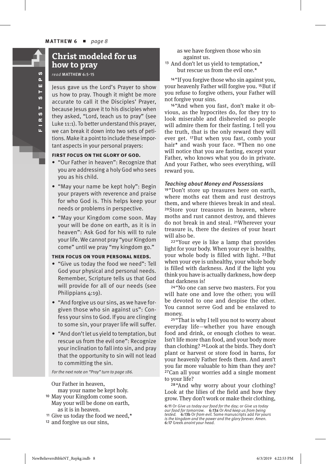## **Christ modeled for us how to pray**

*read* MATTHEW 6:5-15

Jesus gave us the Lord's Prayer to show us how to pray. Though it might be more accurate to call it the Disciples' Prayer, because Jesus gave it to his disciples when they asked, "Lord, teach us to pray" (see Luke 11:1). To better understand this prayer, we can break it down into two sets of petitions. Make it a point to include these important aspects in your personal prayers:

#### **First focus on the glory of God.**

- "Our Father in heaven": Recognize that you are addressing a holy God who sees you as his child.
- "May your name be kept holy": Begin your prayers with reverence and praise for who God is. This helps keep your needs or problems in perspective.
- "May your Kingdom come soon. May your will be done on earth, as it is in heaven": Ask God for his will to rule your life. We cannot pray "your Kingdom come" until we pray "my kingdom go."

#### **Then focus on your personal needs.**

- "Give us today the food we need": Tell God your physical and personal needs. Remember, Scripture tells us that God will provide for all of our needs (see Philippians 4:19).
- "And forgive us our sins, as we have forgiven those who sin against us": Confess your sins to God. If you are clinging to some sin, your prayer life will suffer.
- "And don't let us yield to temptation, but rescue us from the evil one": Recognize your inclination to fall into sin, and pray that the opportunity to sin will not lead to committing the sin.

*For the next note on "Pray" turn to page 186.*

Our Father in heaven, may your name be kept holy.

- <sup>10</sup> May your Kingdom come soon. May your will be done on earth, as it is in heaven.
- <sup>11</sup> Give us today the food we need,\*
- <sup>12</sup> and forgive us our sins,

as we have forgiven those who sin against us.

<sup>13</sup> And don't let us yield to temptation,\* but rescue us from the evil one.\*

<sup>14</sup>"If you forgive those who sin against you, your heavenly Father will forgive you. 15But if you refuse to forgive others, your Father will not forgive your sins.

16"And when you fast, don't make it obvious, as the hypocrites do, for they try to look miserable and disheveled so people will admire them for their fasting. I tell you the truth, that is the only reward they will ever get. 17But when you fast, comb your hair\* and wash your face. 18Then no one will notice that you are fasting, except your Father, who knows what you do in private. And your Father, who sees everything, will reward you.

#### *Teaching about Money and Possessions*

<sup>19</sup>"Don't store up treasures here on earth, where moths eat them and rust destroys them, and where thieves break in and steal. <sup>20</sup>Store your treasures in heaven, where moths and rust cannot destroy, and thieves do not break in and steal. 21Wherever your treasure is, there the desires of your heart will also be.

<sup>22</sup>"Your eye is like a lamp that provides light for your body. When your eye is healthy, your whole body is filled with light. 23But when your eye is unhealthy, your whole body is filled with darkness. And if the light you think you have is actually darkness, how deep that darkness is!

<sup>24</sup>"No one can serve two masters. For you will hate one and love the other; you will be devoted to one and despise the other. You cannot serve God and be enslaved to money.

<sup>25</sup>"That is why I tell you not to worry about everyday life—whether you have enough food and drink, or enough clothes to wear. Isn't life more than food, and your body more than clothing? 26Look at the birds. They don't plant or harvest or store food in barns, for your heavenly Father feeds them. And aren't you far more valuable to him than they are? <sup>27</sup>Can all your worries add a single moment to your life?

<sup>28</sup>"And why worry about your clothing? Look at the lilies of the field and how they grow. They don't work or make their clothing,

**<sup>6:11</sup>** Or Give us today our food for the day; or Give us today<br>our food for tomorrow. **6:13a** Or And keep us from being<br>tested. **6:13b** Or from evil. Some manuscripts add For yours<br>is the kingdom and the power and th 6:17 Greek *anoint your head.*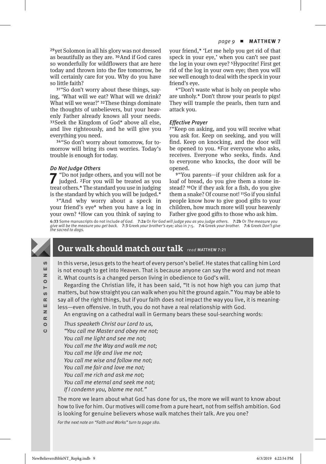<sup>29</sup>yet Solomon in all his glory was not dressed as beautifully as they are. 30And if God cares so wonderfully for wildflowers that are here today and thrown into the fire tomorrow, he will certainly care for you. Why do you have so little faith?

31"So don't worry about these things, saying, 'What will we eat? What will we drink? What will we wear?' 32These things dominate the thoughts of unbelievers, but your heavenly Father already knows all your needs. <sup>33</sup>Seek the Kingdom of God\* above all else, and live righteously, and he will give you everything you need.

34"So don't worry about tomorrow, for tomorrow will bring its own worries. Today's trouble is enough for today.

#### *Do Not Judge Others*

**7**"Do not judge others, and you will not be judged. 2For you will be treated as you treat others.\* The standard you use in judging is the standard by which you will be judged.\*

<sup>3</sup>"And why worry about a speck in your friend's eye\* when you have a log in your own? 4How can you think of saying to

your friend,\* 'Let me help you get rid of that speck in your eye,' when you can't see past the log in your own eye? 5Hypocrite! First get rid of the log in your own eye; then you will see well enough to deal with the speck in your friend's eye.

<sup>6</sup>"Don't waste what is holy on people who are unholy.\* Don't throw your pearls to pigs! They will trample the pearls, then turn and attack you.

#### *Effective Prayer*

<sup>7</sup>"Keep on asking, and you will receive what you ask for. Keep on seeking, and you will find. Keep on knocking, and the door will be opened to you. 8For everyone who asks, receives. Everyone who seeks, finds. And to everyone who knocks, the door will be opened.

<sup>9</sup>"You parents—if your children ask for a loaf of bread, do you give them a stone instead? 10Or if they ask for a fish, do you give them a snake? Of course not! 11So if you sinful people know how to give good gifts to your children, how much more will your heavenly Father give good gifts to those who ask him.

6:33 Some manuscripts do not include *of God.* 7:2a Or *For God will judge you as you judge others.* 7:2b Or *The measure you give will be the measure you get back.* 7:3 Greek *your brother's eye;* also in 7:5. 7:4 Greek *your brother.* 7:6 Greek *Don't give the sacred to dogs.*

## **Our walk should match our talk** read MATTHEW 7:21

In this verse, Jesus gets to the heart of every person's belief. He states that calling him Lord is not enough to get into Heaven. That is because anyone can say the word and not mean it. What counts is a changed person living in obedience to God's will.

Regarding the Christian life, it has been said, "It is not how high you can jump that matters, but how straight you can walk when you hit the ground again." You may be able to say all of the right things, but if your faith does not impact the way you live, it is meaningless—even offensive. In truth, you do not have a real relationship with God.

An engraving on a cathedral wall in Germany bears these soul-searching words:

*Thus speaketh Christ our Lord to us, "You call me Master and obey me not; You call me light and see me not; You call me the Way and walk me not; You call me life and live me not; You call me wise and follow me not; You call me fair and love me not; You call me rich and ask me not; You call me eternal and seek me not; If I condemn you, blame me not."*

The more we learn about what God has done for us, the more we will want to know about how to live for him. Our motives will come from a pure heart, not from selfish ambition. God is looking for genuine believers whose walk matches their talk. Are you one?

*For the next note on "Faith and Works" turn to page 180.*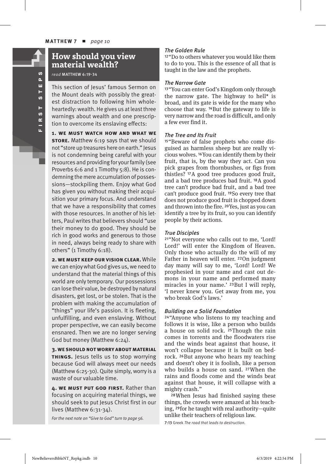## **How should you view material wealth?**

*read* MATTHEW 6:19-34

This section of Jesus' famous Sermon on the Mount deals with possibly the greatest distraction to following him wholeheartedly: wealth. He gives us at least three warnings about wealth and one prescription to overcome its enslaving effects:

**1. We Must Watch How and What We STORE.** Matthew 6:19 says that we should not "store up treasures here on earth." Jesus is not condemning being careful with your resources and providing for your family (see Proverbs 6:6 and 1 Timothy 5:8). He is condemning the mere accumulation of possessions—stockpiling them. Enjoy what God has given you without making their acquisition your primary focus. And understand that we have a responsibility that comes with those resources. In another of his letters, Paul writes that believers should "use their money to do good. They should be rich in good works and generous to those in need, always being ready to share with others" (1 Timothy 6:18).

**2. We Must Keep Our Vision Clear.** While we can enjoy what God gives us, we need to understand that the material things of this world are only temporary. Our possessions can lose their value, be destroyed by natural disasters, get lost, or be stolen. That is the problem with making the accumulation of "things" your life's passion. It is fleeting, unfulfilling, and even enslaving. Without proper perspective, we can easily become ensnared. Then we are no longer serving God but money (Matthew 6:24).

**3. We Should Not Worry about Material Things.** Jesus tells us to stop worrying because God will always meet our needs (Matthew 6:25-30). Quite simply, worry is a waste of our valuable time.

**4. We Must Put God First.** Rather than focusing on acquiring material things, we should seek to put Jesus Christ first in our lives (Matthew 6:31-34).

*For the next note on "Give to God" turn to page 56.*

#### *The Golden Rule*

<sup>12</sup>"Do to others whatever you would like them to do to you. This is the essence of all that is taught in the law and the prophets.

#### *The Narrow Gate*

<sup>13</sup>"You can enter God's Kingdom only through the narrow gate. The highway to hell\* is broad, and its gate is wide for the many who choose that way. 14But the gateway to life is very narrow and the road is difficult, and only a few ever find it.

#### *The Tree and Its Fruit*

15"Beware of false prophets who come disguised as harmless sheep but are really vicious wolves. 16You can identify them by their fruit, that is, by the way they act. Can you pick grapes from thornbushes, or figs from thistles? 17A good tree produces good fruit, and a bad tree produces bad fruit. 18A good tree can't produce bad fruit, and a bad tree can't produce good fruit. 19So every tree that does not produce good fruit is chopped down and thrown into the fire. 20Yes, just as you can identify a tree by its fruit, so you can identify people by their actions.

#### *True Disciples*

<sup>21</sup>"Not everyone who calls out to me, 'Lord! Lord!' will enter the Kingdom of Heaven. Only those who actually do the will of my Father in heaven will enter. <sup>22</sup>On judgment day many will say to me, 'Lord! Lord! We prophesied in your name and cast out demons in your name and performed many miracles in your name.' <sup>23</sup>But I will reply, 'I never knew you. Get away from me, you who break God's laws.'

#### *Building on a Solid Foundation*

<sup>24</sup>"Anyone who listens to my teaching and follows it is wise, like a person who builds a house on solid rock. 25Though the rain comes in torrents and the floodwaters rise and the winds beat against that house, it won't collapse because it is built on bedrock. 26But anyone who hears my teaching and doesn't obey it is foolish, like a person who builds a house on sand. 27When the rains and floods come and the winds beat against that house, it will collapse with a mighty crash."

<sup>28</sup>When Jesus had finished saying these things, the crowds were amazed at his teaching, 29for he taught with real authority—quite unlike their teachers of religious law.

7:13 Greek *The road that leads to destruction.*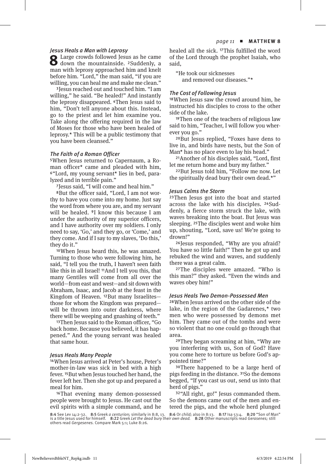#### *Jesus Heals a Man with Leprosy*

**8**Large crowds followed Jesus as he came down the mountainside. 2Suddenly, a man with leprosy approached him and knelt before him. "Lord," the man said, "if you are willing, you can heal me and make me clean."

<sup>3</sup>Jesus reached out and touched him. "I am willing," he said. "Be healed!" And instantly the leprosy disappeared. 4Then Jesus said to him, "Don't tell anyone about this. Instead, go to the priest and let him examine you. Take along the offering required in the law of Moses for those who have been healed of leprosy.\* This will be a public testimony that you have been cleansed."

#### *The Faith of a Roman Officer*

5When Jesus returned to Capernaum, a Roman officer\* came and pleaded with him, 6"Lord, my young servant\* lies in bed, paralyzed and in terrible pain."

<sup>7</sup>Jesus said, "I will come and heal him."

8But the officer said, "Lord, I am not worthy to have you come into my home. Just say the word from where you are, and my servant will be healed. 9I know this because I am under the authority of my superior officers, and I have authority over my soldiers. I only need to say, 'Go,' and they go, or 'Come,' and they come. And if I say to my slaves, 'Do this,' they do it."

<sup>10</sup>When Jesus heard this, he was amazed. Turning to those who were following him, he said, "I tell you the truth, I haven't seen faith like this in all Israel! 11And I tell you this, that many Gentiles will come from all over the world—from east and west—and sit down with Abraham, Isaac, and Jacob at the feast in the Kingdom of Heaven. 12But many Israelites those for whom the Kingdom was prepared will be thrown into outer darkness, where there will be weeping and gnashing of teeth."

<sup>13</sup>Then Jesus said to the Roman officer, "Go back home. Because you believed, it has happened." And the young servant was healed that same hour.

#### *Jesus Heals Many People*

<sup>14</sup>When Jesus arrived at Peter's house, Peter's mother-in-law was sick in bed with a high fever. 15But when Jesus touched her hand, the fever left her. Then she got up and prepared a meal for him.

<sup>16</sup>That evening many demon-possessed people were brought to Jesus. He cast out the evil spirits with a simple command, and he

healed all the sick. 17This fulfilled the word of the Lord through the prophet Isaiah, who said,

"He took our sicknesses and removed our diseases."\*

#### *The Cost of Following Jesus*

<sup>18</sup>When Jesus saw the crowd around him, he instructed his disciples to cross to the other side of the lake.

<sup>19</sup>Then one of the teachers of religious law said to him, "Teacher, I will follow you wherever you go."

<sup>20</sup>But Jesus replied, "Foxes have dens to live in, and birds have nests, but the Son of Man\* has no place even to lay his head."

<sup>21</sup>Another of his disciples said, "Lord, first let me return home and bury my father."

<sup>22</sup>But Jesus told him, "Follow me now. Let the spiritually dead bury their own dead.\*"

#### *Jesus Calms the Storm*

<sup>23</sup>Then Jesus got into the boat and started across the lake with his disciples. 24Suddenly, a fierce storm struck the lake, with waves breaking into the boat. But Jesus was sleeping. 25The disciples went and woke him up, shouting, "Lord, save us! We're going to drown!"

<sup>26</sup>Jesus responded, "Why are you afraid? You have so little faith!" Then he got up and rebuked the wind and waves, and suddenly there was a great calm.

<sup>27</sup>The disciples were amazed. "Who is this man?" they asked. "Even the winds and waves obey him!"

#### *Jesus Heals Two Demon-Possessed Men*

<sup>28</sup>When Jesus arrived on the other side of the lake, in the region of the Gadarenes,\* two men who were possessed by demons met him. They came out of the tombs and were so violent that no one could go through that area.

<sup>29</sup>They began screaming at him, "Why are you interfering with us, Son of God? Have you come here to torture us before God's appointed time?"

<sup>30</sup>There happened to be a large herd of pigs feeding in the distance. 31So the demons begged, "If you cast us out, send us into that herd of pigs."

<sup>32</sup>"All right, go!" Jesus commanded them. So the demons came out of the men and entered the pigs, and the whole herd plunged

**8:**4 See Lev 14:2-32. **8:5** Greek *a centurion;* similarly in 8:8, 13. **8:6** Or *child;* also in 8:13. **8:17** Isa 53:4. **8:20** "Son of Man"<br>is a title Jesus used for himself. **8:22** Greek *Let the dead bury their own dead* others read *Gergesenes.* Compare Mark 5:1; Luke 8:26.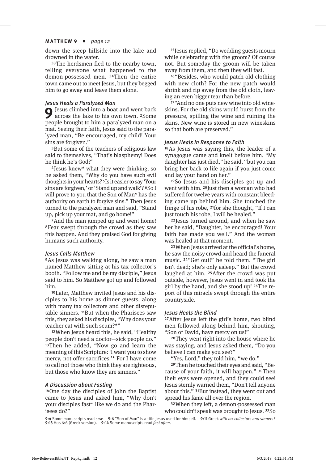down the steep hillside into the lake and drowned in the water.

33The herdsmen fled to the nearby town, telling everyone what happened to the demon-possessed men. 34Then the entire town came out to meet Jesus, but they begged him to go away and leave them alone.

#### *Jesus Heals a Paralyzed Man*

**9** Jesus climbed into a boat and went back across the lake to his own town. 2Some people brought to him a paralyzed man on a mat. Seeing their faith, Jesus said to the paralyzed man, "Be encouraged, my child! Your sins are forgiven."

<sup>3</sup>But some of the teachers of religious law said to themselves, "That's blasphemy! Does he think he's God?"

<sup>4</sup>Jesus knew\* what they were thinking, so he asked them, "Why do you have such evil thoughts in your hearts? 5Is it easier to say 'Your sins are forgiven,' or 'Stand up and walk'? 6So I will prove to you that the Son of Man\* has the authority on earth to forgive sins." Then Jesus turned to the paralyzed man and said, "Stand up, pick up your mat, and go home!"

7And the man jumped up and went home! <sup>8</sup>Fear swept through the crowd as they saw this happen. And they praised God for giving humans such authority.

#### *Jesus Calls Matthew*

<sup>9</sup>As Jesus was walking along, he saw a man named Matthew sitting at his tax collector's booth. "Follow me and be my disciple," Jesus said to him. So Matthew got up and followed him.

10Later, Matthew invited Jesus and his disciples to his home as dinner guests, along with many tax collectors and other disreputable sinners. <sup>11</sup>But when the Pharisees saw this, they asked his disciples, "Why does your teacher eat with such scum?\*"

<sup>12</sup>When Jesus heard this, he said, "Healthy people don't need a doctor—sick people do." <sup>13</sup>Then he added, "Now go and learn the meaning of this Scripture: 'I want you to show mercy, not offer sacrifices.'\* For I have come to call not those who think they are righteous, but those who know they are sinners."

#### *A Discussion about Fasting*

<sup>14</sup>One day the disciples of John the Baptist came to Jesus and asked him, "Why don't your disciples fast\* like we do and the Pharisees do?"

<sup>15</sup>Jesus replied, "Do wedding guests mourn while celebrating with the groom? Of course not. But someday the groom will be taken away from them, and then they will fast.

<sup>16</sup>"Besides, who would patch old clothing with new cloth? For the new patch would shrink and rip away from the old cloth, leaving an even bigger tear than before.

17"And no one puts new wine into old wineskins. For the old skins would burst from the pressure, spilling the wine and ruining the skins. New wine is stored in new wineskins so that both are preserved."

#### *Jesus Heals in Response to Faith*

<sup>18</sup>As Jesus was saying this, the leader of a synagogue came and knelt before him. "My daughter has just died," he said, "but you can bring her back to life again if you just come and lay your hand on her."

<sup>19</sup>So Jesus and his disciples got up and went with him. 20Just then a woman who had suffered for twelve years with constant bleeding came up behind him. She touched the fringe of his robe, 21for she thought, "If I can just touch his robe. I will be healed."

<sup>22</sup>Jesus turned around, and when he saw her he said, "Daughter, be encouraged! Your faith has made you well." And the woman was healed at that moment.

<sup>23</sup>When Jesus arrived at the official's home, he saw the noisy crowd and heard the funeral music. 24"Get out!" he told them. "The girl isn't dead; she's only asleep." But the crowd laughed at him. 25After the crowd was put outside, however, Jesus went in and took the girl by the hand, and she stood up! 26The report of this miracle swept through the entire countryside.

#### *Jesus Heals the Blind*

<sup>27</sup>After Jesus left the girl's home, two blind men followed along behind him, shouting, "Son of David, have mercy on us!"

<sup>28</sup>They went right into the house where he was staying, and Jesus asked them, "Do you believe I can make you see?"

"Yes, Lord," they told him, "we do."

29Then he touched their eyes and said, "Because of your faith, it will happen." 30Then their eyes were opened, and they could see! Jesus sternly warned them, "Don't tell anyone about this." 31But instead, they went out and spread his fame all over the region.

<sup>32</sup>When they left, a demon-possessed man who couldn't speak was brought to Jesus. 33So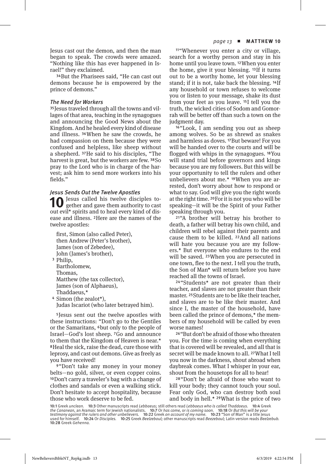Jesus cast out the demon, and then the man began to speak. The crowds were amazed. "Nothing like this has ever happened in Israel!" they exclaimed.

<sup>34</sup>But the Pharisees said, "He can cast out demons because he is empowered by the prince of demons."

#### *The Need for Workers*

35Jesus traveled through all the towns and villages of that area, teaching in the synagogues and announcing the Good News about the Kingdom. And he healed every kind of disease and illness. 36When he saw the crowds, he had compassion on them because they were confused and helpless, like sheep without a shepherd. 37He said to his disciples, "The harvest is great, but the workers are few. 38So pray to the Lord who is in charge of the harvest; ask him to send more workers into his fields."

*Jesus Sends Out the Twelve Apostles* **10** Jesus called his twelve disciples to-<br>gether and gave them authority to cast out evil\* spirits and to heal every kind of disease and illness. 2Here are the names of the twelve apostles:

```
first, Simon (also called Peter),
then Andrew (Peter's brother),
James (son of Zebedee),
John (James's brother),
```
<sup>3</sup> Philip,

Bartholomew, Thomas, Matthew (the tax collector), James (son of Alphaeus), Thaddaeus,\*

<sup>4</sup> Simon (the zealot\*), Judas Iscariot (who later betrayed him).

<sup>5</sup>Jesus sent out the twelve apostles with these instructions: "Don't go to the Gentiles or the Samaritans, 6but only to the people of Israel—God's lost sheep. 7Go and announce to them that the Kingdom of Heaven is near.\* <sup>8</sup>Heal the sick, raise the dead, cure those with leprosy, and cast out demons. Give as freely as you have received!

<sup>9</sup>"Don't take any money in your money belts—no gold, silver, or even copper coins. <sup>10</sup>Don't carry a traveler's bag with a change of clothes and sandals or even a walking stick. Don't hesitate to accept hospitality, because those who work deserve to be fed.

<sup>11</sup>"Whenever you enter a city or village, search for a worthy person and stay in his home until you leave town. 12When you enter the home, give it your blessing. 13If it turns out to be a worthy home, let your blessing stand; if it is not, take back the blessing. 14If any household or town refuses to welcome you or listen to your message, shake its dust from your feet as you leave. 15I tell you the truth, the wicked cities of Sodom and Gomorrah will be better off than such a town on the judgment day.

<sup>16</sup>"Look, I am sending you out as sheep among wolves. So be as shrewd as snakes and harmless as doves. 17But beware! For you will be handed over to the courts and will be flogged with whips in the synagogues. 18You will stand trial before governors and kings because you are my followers. But this will be your opportunity to tell the rulers and other unbelievers about me.\* 19When you are arrested, don't worry about how to respond or what to say. God will give you the right words at the right time. 20For it is not you who will be speaking—it will be the Spirit of your Father speaking through you.

<sup>21</sup>"A brother will betray his brother to death, a father will betray his own child, and children will rebel against their parents and cause them to be killed. 22And all nations will hate you because you are my followers.\* But everyone who endures to the end will be saved. 23When you are persecuted in one town, flee to the next. I tell you the truth, the Son of Man\* will return before you have reached all the towns of Israel.

<sup>24</sup>"Students\* are not greater than their teacher, and slaves are not greater than their master. 25Students are to be like their teacher, and slaves are to be like their master. And since I, the master of the household, have been called the prince of demons,\* the members of my household will be called by even worse names!

<sup>26</sup>"But don't be afraid of those who threaten you. For the time is coming when everything that is covered will be revealed, and all that is secret will be made known to all. 27What I tell you now in the darkness, shout abroad when daybreak comes. What I whisper in your ear, shout from the housetops for all to hear!

<sup>28</sup>"Don't be afraid of those who want to kill your body; they cannot touch your soul. Fear only God, who can destroy both soul and body in hell.\* 29What is the price of two

**10:1** Greek *unclean.* **10:3** Other manuscripts read *Lebbaeus; s*till others read *Lebbaeus who is called Thaddaeus.* **10:**4 Greek<br>*the Cananean, a*n Aramaic term for Jewish nationalists. **10:7** Or *has come,* testimony against the rulers and other unbelievers. **10:22** Greek on account of my name. **10:23** "Son of Man" is a title Jesus<br>used for himself. **10:24** Or Disciples. **10:25** Greek Beelzeboul; other manuscripts read Beezeb 10:28 Greek *Gehenna.*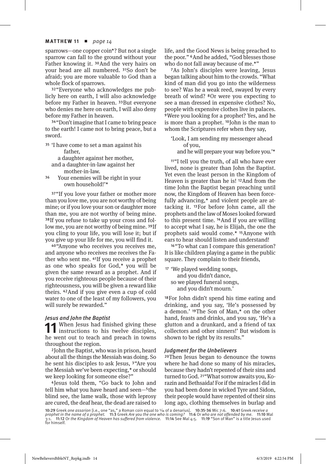#### **Matthew 11** *page 14*

sparrows—one copper coin\*? But not a single sparrow can fall to the ground without your Father knowing it. 30And the very hairs on your head are all numbered. 31So don't be afraid; you are more valuable to God than a whole flock of sparrows.

32"Everyone who acknowledges me publicly here on earth, I will also acknowledge before my Father in heaven. <sup>33</sup>But everyone who denies me here on earth, I will also deny before my Father in heaven.

<sup>34</sup>"Don't imagine that I came to bring peace to the earth! I came not to bring peace, but a sword.

<sup>35</sup> 'I have come to set a man against his father,

a daughter against her mother, and a daughter-in-law against her mother-in-law.

<sup>36</sup> Your enemies will be right in your own household!'\*

<sup>37</sup>"If you love your father or mother more than you love me, you are not worthy of being mine; or if you love your son or daughter more than me, you are not worthy of being mine. 38If you refuse to take up your cross and follow me, you are not worthy of being mine. 39If you cling to your life, you will lose it; but if you give up your life for me, you will find it.

<sup>40</sup>"Anyone who receives you receives me, and anyone who receives me receives the Father who sent me. 41If you receive a prophet as one who speaks for God,\* you will be given the same reward as a prophet. And if you receive righteous people because of their righteousness, you will be given a reward like theirs. 42And if you give even a cup of cold water to one of the least of my followers, you will surely be rewarded."

*Jesus and John the Baptist* 11 When Jesus had finished giving these instructions to his twelve disciples, he went out to teach and preach in towns throughout the region.

<sup>2</sup>John the Baptist, who was in prison, heard about all the things the Messiah was doing. So he sent his disciples to ask Jesus, 3"Are you the Messiah we've been expecting,\* or should we keep looking for someone else?"

<sup>4</sup>Jesus told them, "Go back to John and tell him what you have heard and seen—5the blind see, the lame walk, those with leprosy are cured, the deaf hear, the dead are raised to life, and the Good News is being preached to the poor." 6And he added, "God blesses those who do not fall away because of me.\*"

<sup>7</sup>As John's disciples were leaving, Jesus began talking about him to the crowds. "What kind of man did you go into the wilderness to see? Was he a weak reed, swayed by every breath of wind? 8Or were you expecting to see a man dressed in expensive clothes? No, people with expensive clothes live in palaces. <sup>9</sup>Were you looking for a prophet? Yes, and he is more than a prophet. 10John is the man to whom the Scriptures refer when they say,

'Look, I am sending my messenger ahead of you,

and he will prepare your way before you.'\*

<sup>11</sup>"I tell you the truth, of all who have ever lived, none is greater than John the Baptist. Yet even the least person in the Kingdom of Heaven is greater than he is! 12And from the time John the Baptist began preaching until now, the Kingdom of Heaven has been forcefully advancing,\* and violent people are attacking it. 13For before John came, all the prophets and the law of Moses looked forward to this present time. 14And if you are willing to accept what I say, he is Elijah, the one the prophets said would come.\* 15Anyone with ears to hear should listen and understand!

<sup>16</sup>"To what can I compare this generation? It is like children playing a game in the public square. They complain to their friends,

<sup>17</sup> 'We played wedding songs, and you didn't dance, so we played funeral songs, and you didn't mourn.'

<sup>18</sup>For John didn't spend his time eating and drinking, and you say, 'He's possessed by a demon.' 19The Son of Man,\* on the other hand, feasts and drinks, and you say, 'He's a glutton and a drunkard, and a friend of tax collectors and other sinners!' But wisdom is shown to be right by its results."

#### *Judgment for the Unbelievers*

<sup>20</sup>Then Jesus began to denounce the towns where he had done so many of his miracles, because they hadn't repented of their sins and turned to God. 21"What sorrow awaits you, Korazin and Bethsaida! For if the miracles I did in you had been done in wicked Tyre and Sidon, their people would have repented of their sins long ago, clothing themselves in burlap and

10:29 Greek *one assarion* [i.e., one "as," a Roman coin equal to ¼s of a denarius]. 10:35-36 Mic 7:6. 10:41 Greek *receive a*<br>prophet in the name of a prophet. 11:3 Greek Are you the one who is coming? 11:6 Or who are not for himself.